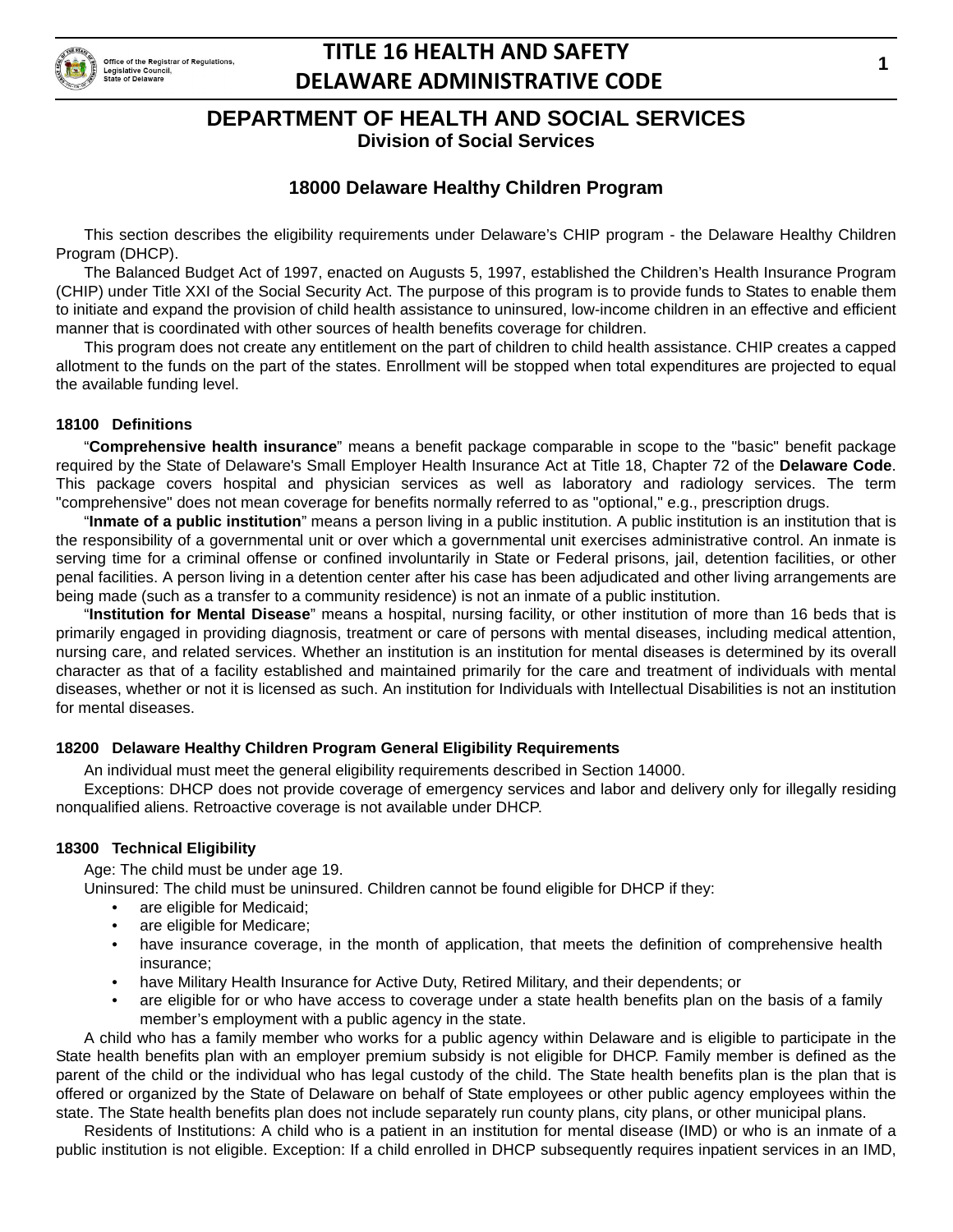

# **TITLE 16 HEALTH AND SAFETY DELAWARE ADMINISTRATIVE CODE**

**Division of Social Services**

## **18000 Delaware Healthy Children Program**

This section describes the eligibility requirements under Delaware's CHIP program - the Delaware Healthy Children Program (DHCP).

The Balanced Budget Act of 1997, enacted on Augusts 5, 1997, established the Children's Health Insurance Program (CHIP) under Title XXI of the Social Security Act. The purpose of this program is to provide funds to States to enable them to initiate and expand the provision of child health assistance to uninsured, low-income children in an effective and efficient manner that is coordinated with other sources of health benefits coverage for children.

This program does not create any entitlement on the part of children to child health assistance. CHIP creates a capped allotment to the funds on the part of the states. Enrollment will be stopped when total expenditures are projected to equal the available funding level.

#### **18100 Definitions**

"**Comprehensive health insurance**" means a benefit package comparable in scope to the "basic" benefit package required by the State of Delaware's Small Employer Health Insurance Act at Title 18, Chapter 72 of the **Delaware Code**. This package covers hospital and physician services as well as laboratory and radiology services. The term "comprehensive" does not mean coverage for benefits normally referred to as "optional," e.g., prescription drugs.

"**Inmate of a public institution**" means a person living in a public institution. A public institution is an institution that is the responsibility of a governmental unit or over which a governmental unit exercises administrative control. An inmate is serving time for a criminal offense or confined involuntarily in State or Federal prisons, jail, detention facilities, or other penal facilities. A person living in a detention center after his case has been adjudicated and other living arrangements are being made (such as a transfer to a community residence) is not an inmate of a public institution.

"**Institution for Mental Disease**" means a hospital, nursing facility, or other institution of more than 16 beds that is primarily engaged in providing diagnosis, treatment or care of persons with mental diseases, including medical attention, nursing care, and related services. Whether an institution is an institution for mental diseases is determined by its overall character as that of a facility established and maintained primarily for the care and treatment of individuals with mental diseases, whether or not it is licensed as such. An institution for Individuals with Intellectual Disabilities is not an institution for mental diseases.

### **18200 Delaware Healthy Children Program General Eligibility Requirements**

An individual must meet the general eligibility requirements described in Section 14000.

Exceptions: DHCP does not provide coverage of emergency services and labor and delivery only for illegally residing nonqualified aliens. Retroactive coverage is not available under DHCP.

### **18300 Technical Eligibility**

Age: The child must be under age 19.

Uninsured: The child must be uninsured. Children cannot be found eligible for DHCP if they:

- are eligible for Medicaid;
- are eligible for Medicare;
- have insurance coverage, in the month of application, that meets the definition of comprehensive health insurance;
- have Military Health Insurance for Active Duty, Retired Military, and their dependents; or
- are eligible for or who have access to coverage under a state health benefits plan on the basis of a family member's employment with a public agency in the state.

A child who has a family member who works for a public agency within Delaware and is eligible to participate in the State health benefits plan with an employer premium subsidy is not eligible for DHCP. Family member is defined as the parent of the child or the individual who has legal custody of the child. The State health benefits plan is the plan that is offered or organized by the State of Delaware on behalf of State employees or other public agency employees within the state. The State health benefits plan does not include separately run county plans, city plans, or other municipal plans.

Residents of Institutions: A child who is a patient in an institution for mental disease (IMD) or who is an inmate of a public institution is not eligible. Exception: If a child enrolled in DHCP subsequently requires inpatient services in an IMD,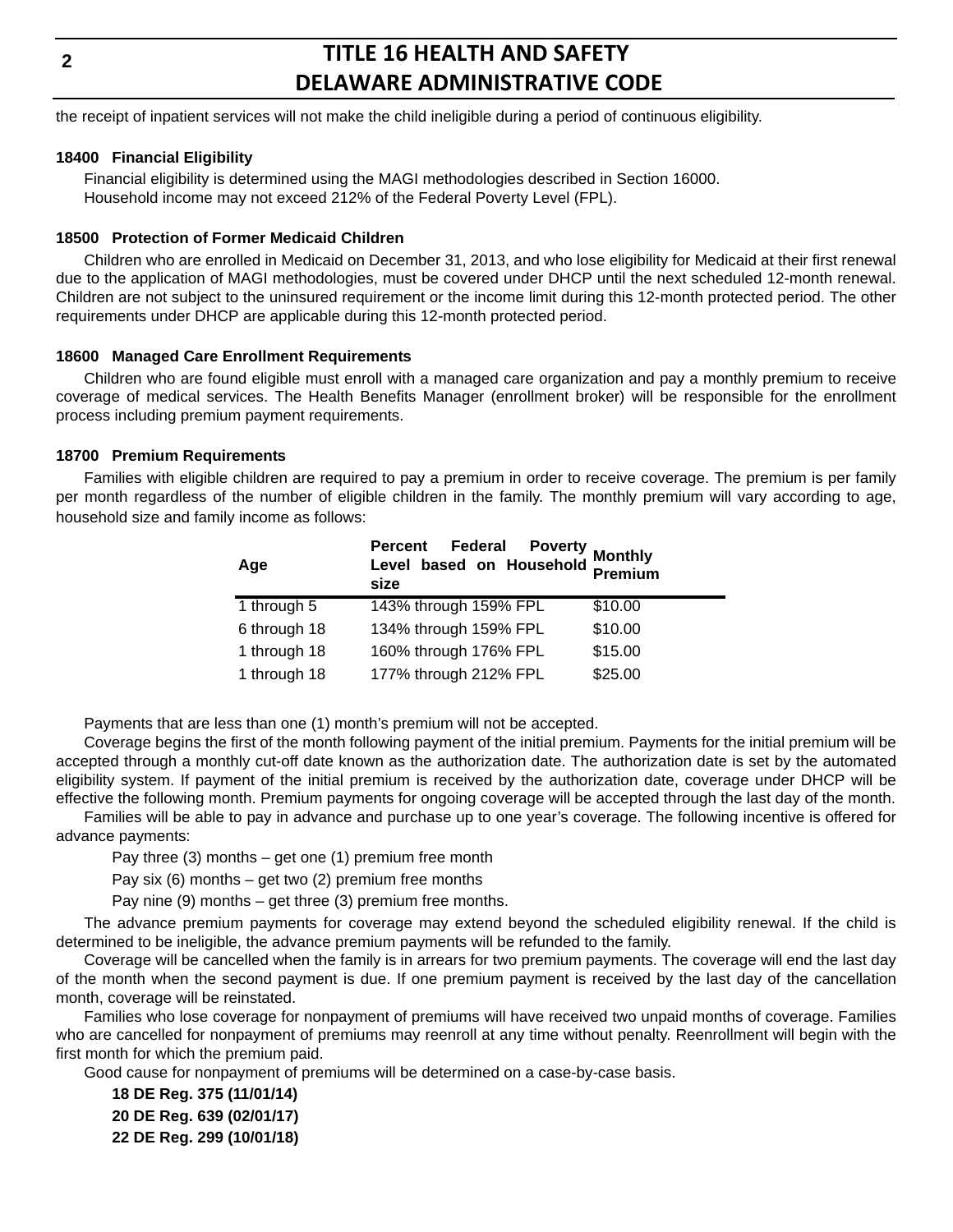# **TITLE 16 HEALTH AND SAFETY DELAWARE ADMINISTRATIVE CODE**

the receipt of inpatient services will not make the child ineligible during a period of continuous eligibility.

#### **18400 Financial Eligibility**

Financial eligibility is determined using the MAGI methodologies described in Section 16000. Household income may not exceed 212% of the Federal Poverty Level (FPL).

#### **18500 Protection of Former Medicaid Children**

Children who are enrolled in Medicaid on December 31, 2013, and who lose eligibility for Medicaid at their first renewal due to the application of MAGI methodologies, must be covered under DHCP until the next scheduled 12-month renewal. Children are not subject to the uninsured requirement or the income limit during this 12-month protected period. The other requirements under DHCP are applicable during this 12-month protected period.

#### **18600 Managed Care Enrollment Requirements**

Children who are found eligible must enroll with a managed care organization and pay a monthly premium to receive coverage of medical services. The Health Benefits Manager (enrollment broker) will be responsible for the enrollment process including premium payment requirements.

#### **18700 Premium Requirements**

Families with eligible children are required to pay a premium in order to receive coverage. The premium is per family per month regardless of the number of eligible children in the family. The monthly premium will vary according to age, household size and family income as follows:

| Age          | ercent Federal Poverty<br>Level based on Household Premium<br>size |         |
|--------------|--------------------------------------------------------------------|---------|
| 1 through 5  | 143% through 159% FPL                                              | \$10.00 |
| 6 through 18 | 134% through 159% FPL                                              | \$10.00 |
| 1 through 18 | 160% through 176% FPL                                              | \$15.00 |
| 1 through 18 | 177% through 212% FPL                                              | \$25.00 |

Payments that are less than one (1) month's premium will not be accepted.

Coverage begins the first of the month following payment of the initial premium. Payments for the initial premium will be accepted through a monthly cut-off date known as the authorization date. The authorization date is set by the automated eligibility system. If payment of the initial premium is received by the authorization date, coverage under DHCP will be effective the following month. Premium payments for ongoing coverage will be accepted through the last day of the month.

Families will be able to pay in advance and purchase up to one year's coverage. The following incentive is offered for advance payments:

Pay three  $(3)$  months – get one  $(1)$  premium free month

Pay six  $(6)$  months – get two  $(2)$  premium free months

Pay nine (9) months – get three (3) premium free months.

The advance premium payments for coverage may extend beyond the scheduled eligibility renewal. If the child is determined to be ineligible, the advance premium payments will be refunded to the family.

Coverage will be cancelled when the family is in arrears for two premium payments. The coverage will end the last day of the month when the second payment is due. If one premium payment is received by the last day of the cancellation month, coverage will be reinstated.

Families who lose coverage for nonpayment of premiums will have received two unpaid months of coverage. Families who are cancelled for nonpayment of premiums may reenroll at any time without penalty. Reenrollment will begin with the first month for which the premium paid.

Good cause for nonpayment of premiums will be determined on a case-by-case basis.

**18 DE Reg. 375 (11/01/14) 20 DE Reg. 639 (02/01/17) 22 DE Reg. 299 (10/01/18)**

**2**